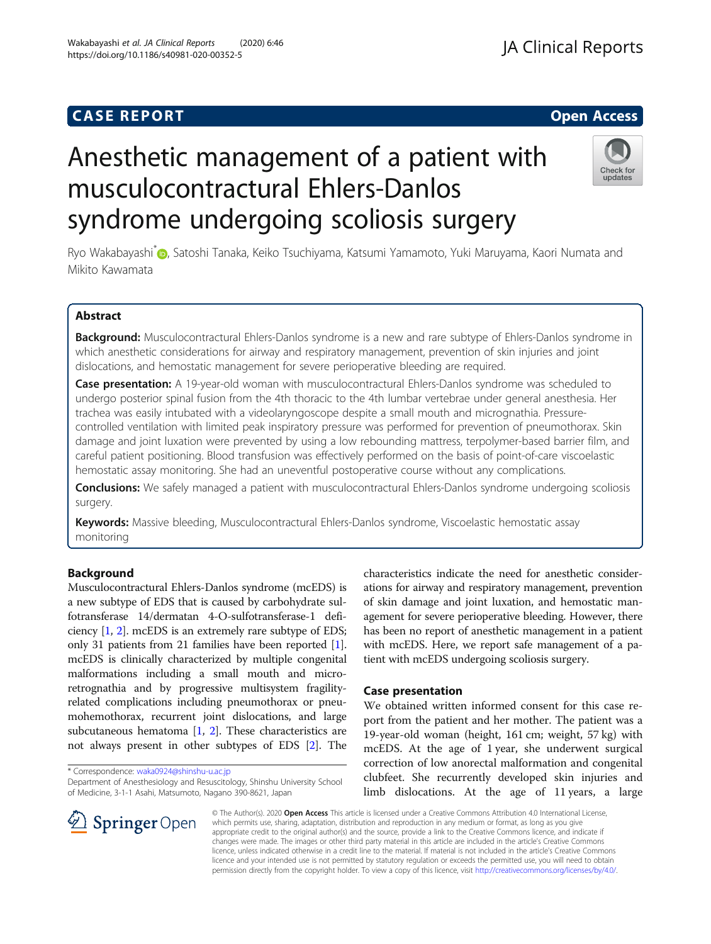## **CASE REPORT And SERVICE SERVICE SERVICE SERVICE SERVICE SERVICE SERVICE SERVICE SERVICE SERVICE SERVICE SERVICE**

## **JA Clinical Reports**

# Anesthetic management of a patient with musculocontractural Ehlers-Danlos syndrome undergoing scoliosis surgery



Ryo Wakabayashi<sup>\*</sup> , Satoshi Tanaka, Keiko Tsuchiyama, Katsumi Yamamoto, Yuki Maruyama, Kaori Numata and Mikito Kawamata

#### Abstract

Background: Musculocontractural Ehlers-Danlos syndrome is a new and rare subtype of Ehlers-Danlos syndrome in which anesthetic considerations for airway and respiratory management, prevention of skin injuries and joint dislocations, and hemostatic management for severe perioperative bleeding are required.

Case presentation: A 19-year-old woman with musculocontractural Ehlers-Danlos syndrome was scheduled to undergo posterior spinal fusion from the 4th thoracic to the 4th lumbar vertebrae under general anesthesia. Her trachea was easily intubated with a videolaryngoscope despite a small mouth and micrognathia. Pressurecontrolled ventilation with limited peak inspiratory pressure was performed for prevention of pneumothorax. Skin damage and joint luxation were prevented by using a low rebounding mattress, terpolymer-based barrier film, and careful patient positioning. Blood transfusion was effectively performed on the basis of point-of-care viscoelastic hemostatic assay monitoring. She had an uneventful postoperative course without any complications.

**Conclusions:** We safely managed a patient with musculocontractural Ehlers-Danlos syndrome undergoing scoliosis surgery.

Keywords: Massive bleeding, Musculocontractural Ehlers-Danlos syndrome, Viscoelastic hemostatic assay monitoring

#### Background

Musculocontractural Ehlers-Danlos syndrome (mcEDS) is a new subtype of EDS that is caused by carbohydrate sulfotransferase 14/dermatan 4-O-sulfotransferase-1 deficiency [[1,](#page-3-0) [2\]](#page-3-0). mcEDS is an extremely rare subtype of EDS; only 31 patients from 21 families have been reported [[1](#page-3-0)]. mcEDS is clinically characterized by multiple congenital malformations including a small mouth and microretrognathia and by progressive multisystem fragilityrelated complications including pneumothorax or pneumohemothorax, recurrent joint dislocations, and large subcutaneous hematoma [[1,](#page-3-0) [2](#page-3-0)]. These characteristics are not always present in other subtypes of EDS [\[2](#page-3-0)]. The

\* Correspondence: [waka0924@shinshu-u.ac.jp](mailto:waka0924@shinshu-u.ac.jp)

Department of Anesthesiology and Resuscitology, Shinshu University School of Medicine, 3-1-1 Asahi, Matsumoto, Nagano 390-8621, Japan

characteristics indicate the need for anesthetic considerations for airway and respiratory management, prevention of skin damage and joint luxation, and hemostatic management for severe perioperative bleeding. However, there has been no report of anesthetic management in a patient with mcEDS. Here, we report safe management of a patient with mcEDS undergoing scoliosis surgery.

#### Case presentation

We obtained written informed consent for this case report from the patient and her mother. The patient was a 19-year-old woman (height, 161 cm; weight, 57 kg) with mcEDS. At the age of 1 year, she underwent surgical correction of low anorectal malformation and congenital clubfeet. She recurrently developed skin injuries and limb dislocations. At the age of 11 years, a large



© The Author(s). 2020 Open Access This article is licensed under a Creative Commons Attribution 4.0 International License, which permits use, sharing, adaptation, distribution and reproduction in any medium or format, as long as you give appropriate credit to the original author(s) and the source, provide a link to the Creative Commons licence, and indicate if changes were made. The images or other third party material in this article are included in the article's Creative Commons licence, unless indicated otherwise in a credit line to the material. If material is not included in the article's Creative Commons licence and your intended use is not permitted by statutory regulation or exceeds the permitted use, you will need to obtain permission directly from the copyright holder. To view a copy of this licence, visit <http://creativecommons.org/licenses/by/4.0/>.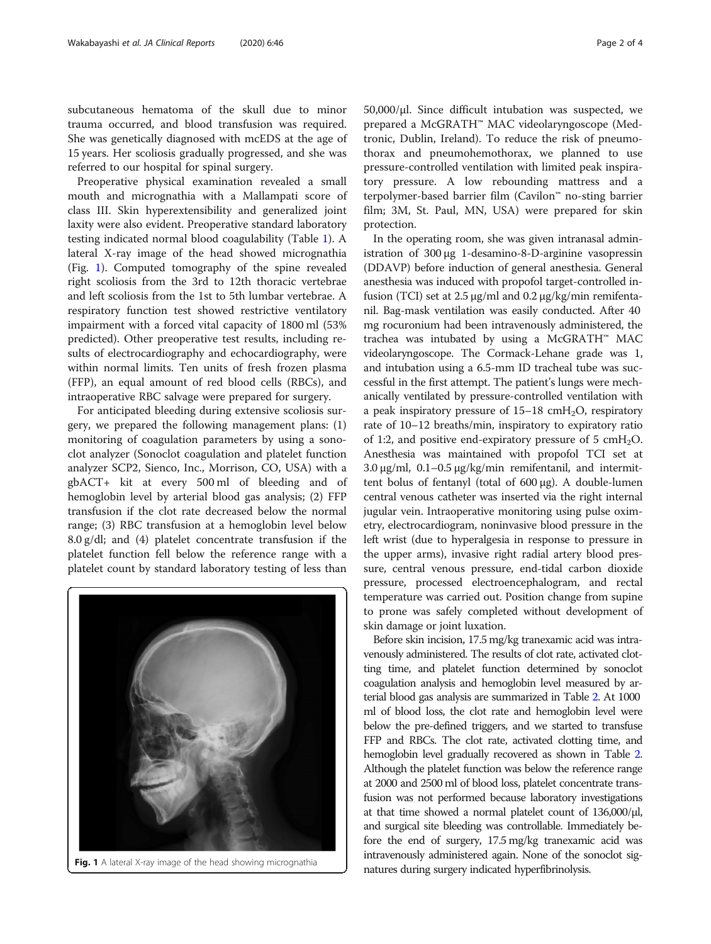subcutaneous hematoma of the skull due to minor trauma occurred, and blood transfusion was required. She was genetically diagnosed with mcEDS at the age of 15 years. Her scoliosis gradually progressed, and she was referred to our hospital for spinal surgery.

Preoperative physical examination revealed a small mouth and micrognathia with a Mallampati score of class III. Skin hyperextensibility and generalized joint laxity were also evident. Preoperative standard laboratory testing indicated normal blood coagulability (Table [1](#page-2-0)). A lateral X-ray image of the head showed micrognathia (Fig. 1). Computed tomography of the spine revealed right scoliosis from the 3rd to 12th thoracic vertebrae and left scoliosis from the 1st to 5th lumbar vertebrae. A respiratory function test showed restrictive ventilatory impairment with a forced vital capacity of 1800 ml (53% predicted). Other preoperative test results, including results of electrocardiography and echocardiography, were within normal limits. Ten units of fresh frozen plasma (FFP), an equal amount of red blood cells (RBCs), and intraoperative RBC salvage were prepared for surgery.

For anticipated bleeding during extensive scoliosis surgery, we prepared the following management plans: (1) monitoring of coagulation parameters by using a sonoclot analyzer (Sonoclot coagulation and platelet function analyzer SCP2, Sienco, Inc., Morrison, CO, USA) with a gbACT+ kit at every 500 ml of bleeding and of hemoglobin level by arterial blood gas analysis; (2) FFP transfusion if the clot rate decreased below the normal range; (3) RBC transfusion at a hemoglobin level below 8.0 g/dl; and (4) platelet concentrate transfusion if the platelet function fell below the reference range with a platelet count by standard laboratory testing of less than



50,000/μl. Since difficult intubation was suspected, we prepared a McGRATH™ MAC videolaryngoscope (Medtronic, Dublin, Ireland). To reduce the risk of pneumothorax and pneumohemothorax, we planned to use pressure-controlled ventilation with limited peak inspiratory pressure. A low rebounding mattress and a terpolymer-based barrier film (Cavilon™ no-sting barrier film; 3M, St. Paul, MN, USA) were prepared for skin protection.

In the operating room, she was given intranasal administration of 300 μg 1-desamino-8-D-arginine vasopressin (DDAVP) before induction of general anesthesia. General anesthesia was induced with propofol target-controlled infusion (TCI) set at 2.5 μg/ml and 0.2 μg/kg/min remifentanil. Bag-mask ventilation was easily conducted. After 40 mg rocuronium had been intravenously administered, the trachea was intubated by using a McGRATH™ MAC videolaryngoscope. The Cormack-Lehane grade was 1, and intubation using a 6.5-mm ID tracheal tube was successful in the first attempt. The patient's lungs were mechanically ventilated by pressure-controlled ventilation with a peak inspiratory pressure of  $15-18$  cmH<sub>2</sub>O, respiratory rate of 10–12 breaths/min, inspiratory to expiratory ratio of 1:2, and positive end-expiratory pressure of 5 cmH<sub>2</sub>O. Anesthesia was maintained with propofol TCI set at 3.0  $\mu$ g/ml, 0.1–0.5  $\mu$ g/kg/min remifentanil, and intermittent bolus of fentanyl (total of 600 μg). A double-lumen central venous catheter was inserted via the right internal jugular vein. Intraoperative monitoring using pulse oximetry, electrocardiogram, noninvasive blood pressure in the left wrist (due to hyperalgesia in response to pressure in the upper arms), invasive right radial artery blood pressure, central venous pressure, end-tidal carbon dioxide pressure, processed electroencephalogram, and rectal temperature was carried out. Position change from supine to prone was safely completed without development of skin damage or joint luxation.

Before skin incision, 17.5 mg/kg tranexamic acid was intravenously administered. The results of clot rate, activated clotting time, and platelet function determined by sonoclot coagulation analysis and hemoglobin level measured by arterial blood gas analysis are summarized in Table [2.](#page-2-0) At 1000 ml of blood loss, the clot rate and hemoglobin level were below the pre-defined triggers, and we started to transfuse FFP and RBCs. The clot rate, activated clotting time, and hemoglobin level gradually recovered as shown in Table [2](#page-2-0). Although the platelet function was below the reference range at 2000 and 2500 ml of blood loss, platelet concentrate transfusion was not performed because laboratory investigations at that time showed a normal platelet count of 136,000/μl, and surgical site bleeding was controllable. Immediately before the end of surgery, 17.5 mg/kg tranexamic acid was intravenously administered again. None of the sonoclot sig-Fig. 1 A lateral X-ray image of the head showing micrognathia natures during surgery indicated hyperfibrinolysis.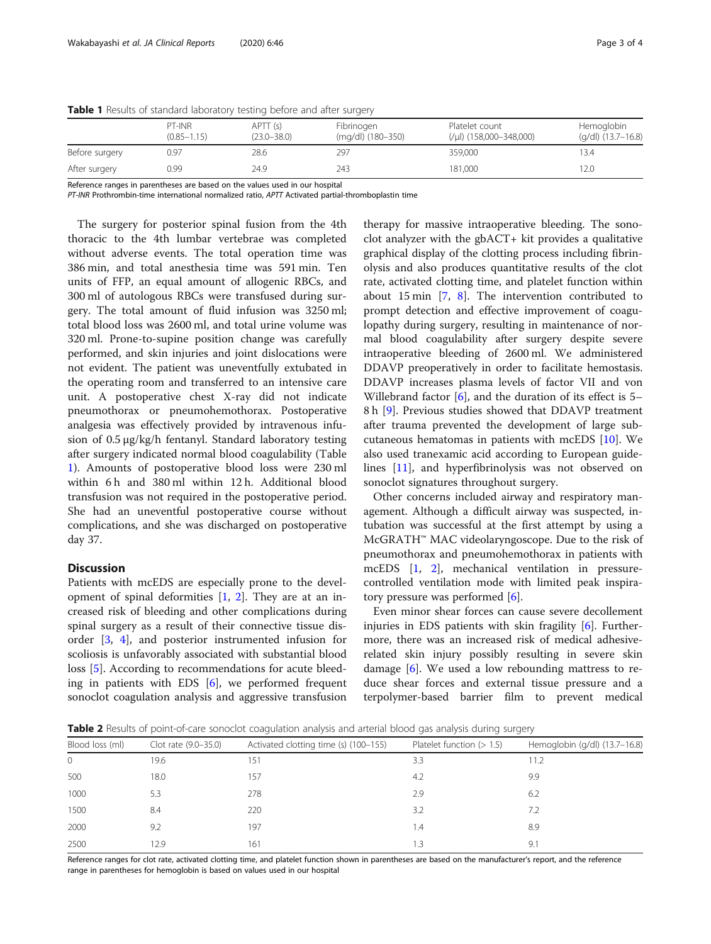|                | PT-INR<br>$(0.85 - 1.15)$ | APTT (s)<br>$(23.0 - 38.0)$ | Fibrinogen<br>(mg/dl) (180-350) | Platelet count<br>$(\mu$   (158,000-348,000) | Hemoglobin<br>$(q/dl)$ (13.7–16.8) |
|----------------|---------------------------|-----------------------------|---------------------------------|----------------------------------------------|------------------------------------|
| Before surgery | 0.97                      | 28.6                        | 297                             | 359,000                                      | 13.4                               |
| After surgery  | 0.99                      | 24.9                        | 243                             | 181,000                                      | 12.0                               |

<span id="page-2-0"></span>**Table 1** Results of standard laboratory testing before and after surgery

Reference ranges in parentheses are based on the values used in our hospital

PT-INR Prothrombin-time international normalized ratio, APTT Activated partial-thromboplastin time

The surgery for posterior spinal fusion from the 4th thoracic to the 4th lumbar vertebrae was completed without adverse events. The total operation time was 386 min, and total anesthesia time was 591 min. Ten units of FFP, an equal amount of allogenic RBCs, and 300 ml of autologous RBCs were transfused during surgery. The total amount of fluid infusion was 3250 ml; total blood loss was 2600 ml, and total urine volume was 320 ml. Prone-to-supine position change was carefully performed, and skin injuries and joint dislocations were not evident. The patient was uneventfully extubated in the operating room and transferred to an intensive care unit. A postoperative chest X-ray did not indicate pneumothorax or pneumohemothorax. Postoperative analgesia was effectively provided by intravenous infusion of 0.5 μg/kg/h fentanyl. Standard laboratory testing after surgery indicated normal blood coagulability (Table 1). Amounts of postoperative blood loss were 230 ml within 6 h and 380 ml within 12 h. Additional blood transfusion was not required in the postoperative period. She had an uneventful postoperative course without complications, and she was discharged on postoperative day 37.

#### **Discussion**

Patients with mcEDS are especially prone to the development of spinal deformities [[1,](#page-3-0) [2](#page-3-0)]. They are at an increased risk of bleeding and other complications during spinal surgery as a result of their connective tissue disorder [[3,](#page-3-0) [4](#page-3-0)], and posterior instrumented infusion for scoliosis is unfavorably associated with substantial blood loss [\[5](#page-3-0)]. According to recommendations for acute bleeding in patients with EDS [[6](#page-3-0)], we performed frequent sonoclot coagulation analysis and aggressive transfusion

therapy for massive intraoperative bleeding. The sonoclot analyzer with the gbACT+ kit provides a qualitative graphical display of the clotting process including fibrinolysis and also produces quantitative results of the clot rate, activated clotting time, and platelet function within about 15 min [\[7](#page-3-0), [8](#page-3-0)]. The intervention contributed to prompt detection and effective improvement of coagulopathy during surgery, resulting in maintenance of normal blood coagulability after surgery despite severe intraoperative bleeding of 2600 ml. We administered DDAVP preoperatively in order to facilitate hemostasis. DDAVP increases plasma levels of factor VII and von Willebrand factor [[6\]](#page-3-0), and the duration of its effect is 5– 8h [[9\]](#page-3-0). Previous studies showed that DDAVP treatment after trauma prevented the development of large subcutaneous hematomas in patients with mcEDS [[10](#page-3-0)]. We also used tranexamic acid according to European guidelines [\[11\]](#page-3-0), and hyperfibrinolysis was not observed on sonoclot signatures throughout surgery.

Other concerns included airway and respiratory management. Although a difficult airway was suspected, intubation was successful at the first attempt by using a McGRATH™ MAC videolaryngoscope. Due to the risk of pneumothorax and pneumohemothorax in patients with mcEDS [\[1](#page-3-0), [2](#page-3-0)], mechanical ventilation in pressurecontrolled ventilation mode with limited peak inspiratory pressure was performed  $[6]$ .

Even minor shear forces can cause severe decollement injuries in EDS patients with skin fragility [[6\]](#page-3-0). Furthermore, there was an increased risk of medical adhesiverelated skin injury possibly resulting in severe skin damage  $[6]$  $[6]$ . We used a low rebounding mattress to reduce shear forces and external tissue pressure and a terpolymer-based barrier film to prevent medical

Table 2 Results of point-of-care sonoclot coagulation analysis and arterial blood gas analysis during surgery

| Blood loss (ml) | Clot rate (9.0-35.0) | Activated clotting time (s) (100-155) | Platelet function $(> 1.5)$ | Hemoglobin (g/dl) (13.7-16.8) |
|-----------------|----------------------|---------------------------------------|-----------------------------|-------------------------------|
| $\Omega$        | 19.6                 | 151                                   | 3.3                         | 11.2                          |
| 500             | 18.0                 | 157                                   | 4.2                         | 9.9                           |
| 1000            | 5.3                  | 278                                   | 2.9                         | 6.2                           |
| 1500            | 8.4                  | 220                                   | 3.2                         | 7.2                           |
| 2000            | 9.2                  | 197                                   | 1.4                         | 8.9                           |
| 2500            | 12.9                 | 161                                   |                             | 9.                            |

Reference ranges for clot rate, activated clotting time, and platelet function shown in parentheses are based on the manufacturer's report, and the reference range in parentheses for hemoglobin is based on values used in our hospital